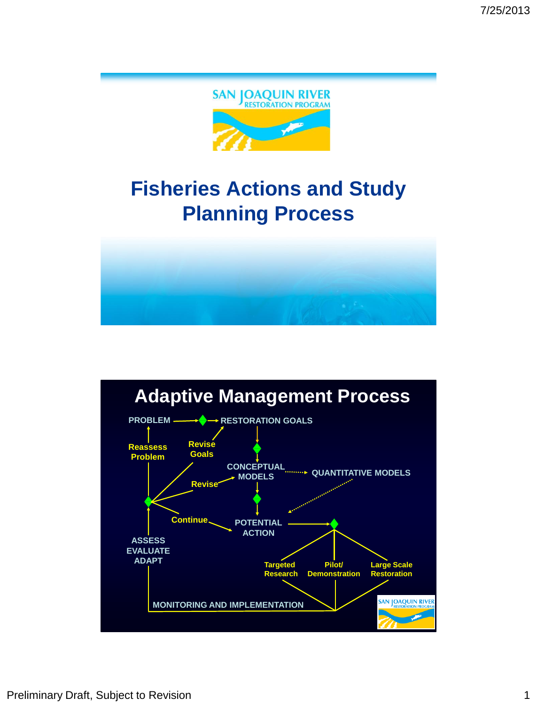

# **Fisheries Actions and Study Planning Process**



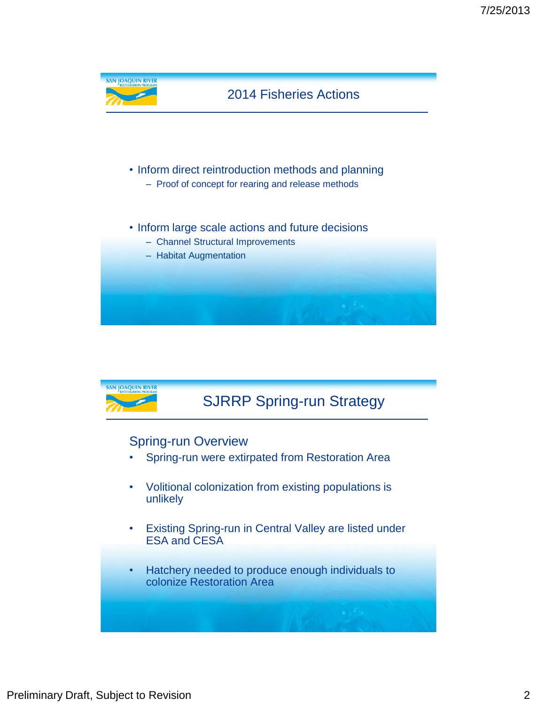

#### Spring-run Overview

- Spring-run were extirpated from Restoration Area
- Volitional colonization from existing populations is unlikely
- Existing Spring-run in Central Valley are listed under ESA and CESA
- Hatchery needed to produce enough individuals to colonize Restoration Area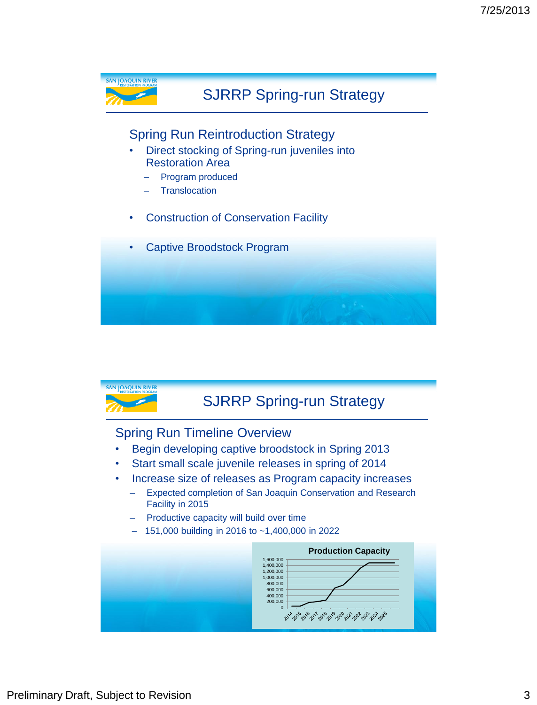

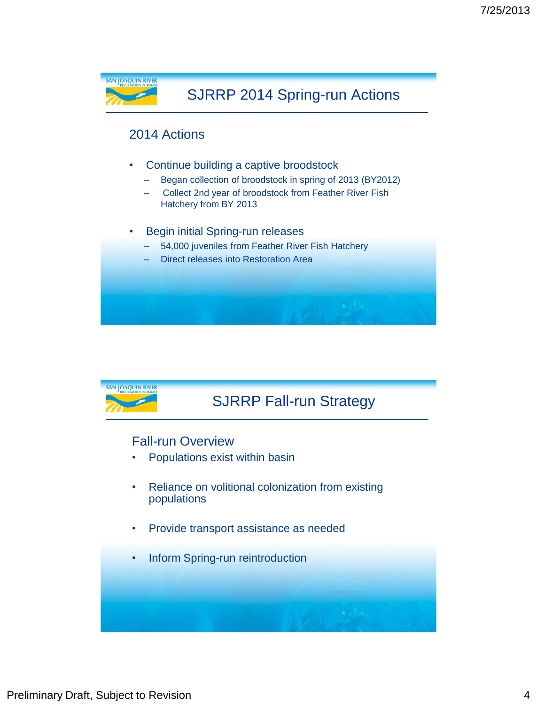

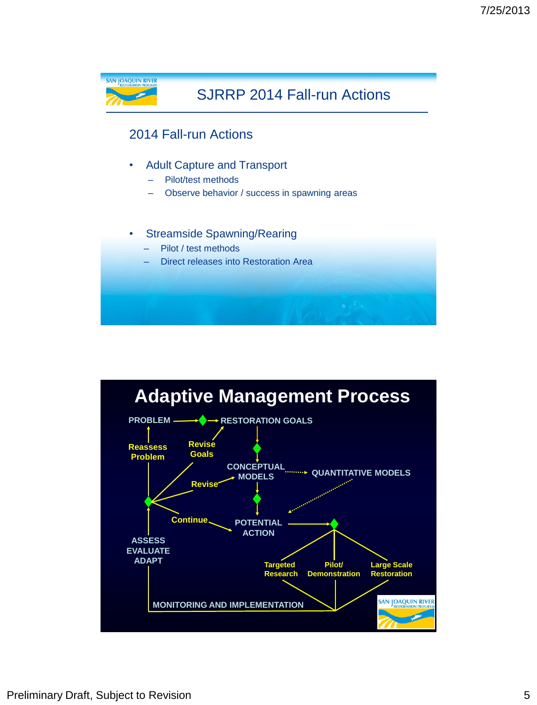

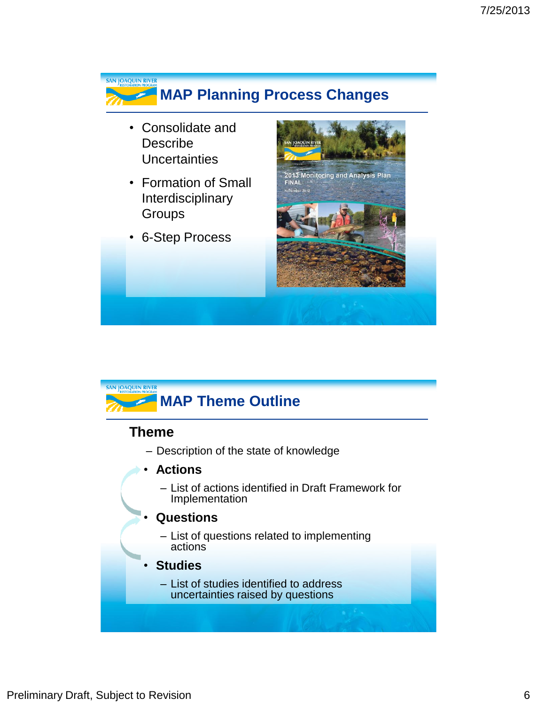



### **Theme**

- Description of the state of knowledge
- **Actions**
	- List of actions identified in Draft Framework for Implementation

#### • **Questions**

– List of questions related to implementing actions

#### • **Studies**

– List of studies identified to address uncertainties raised by questions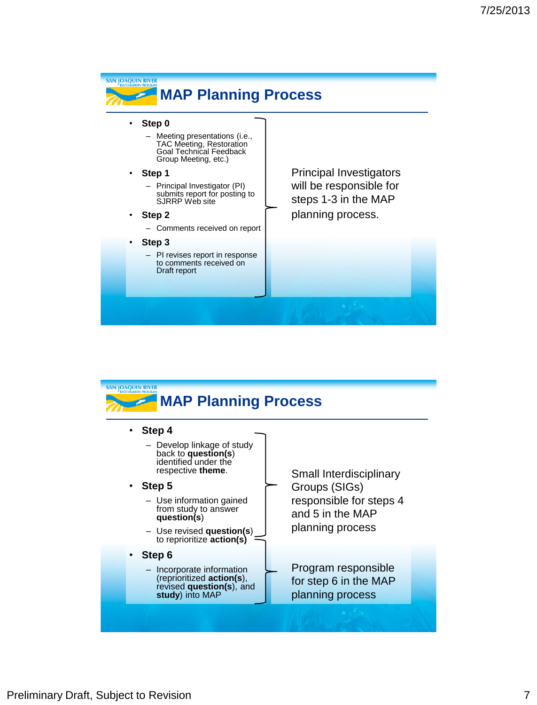#### SAN JOAQUIN RIVER **MAP Planning Process** • **Step 0** – Meeting presentations (i.e., TAC Meeting, Restoration Goal Technical Feedback Group Meeting, etc.) Principal Investigators • **Step 1** will be responsible for – Principal Investigator (PI) submits report for posting to steps 1-3 in the MAP SJRRP Web site planning process. • **Step 2** – Comments received on report • **Step 3** – PI revises report in response to comments received on Draft report

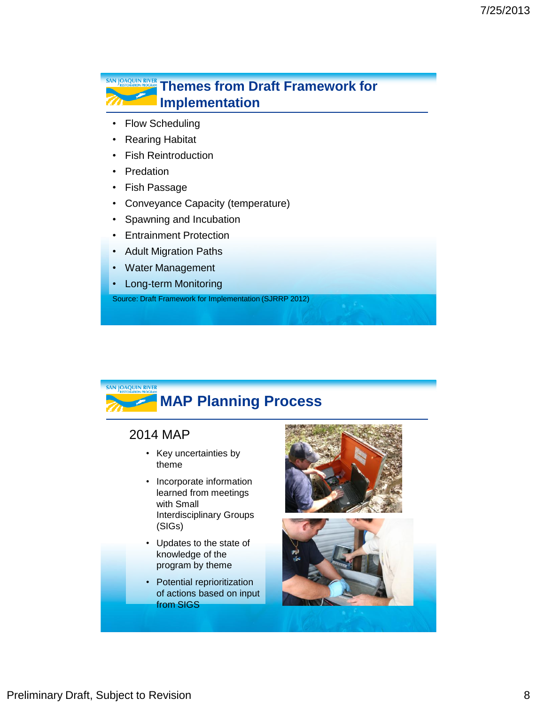### **THEMES FROM DRAFT FRAMEWORK FOR SAN JOAQUIN RIVER Implementation**

- Flow Scheduling
- Rearing Habitat
- Fish Reintroduction
- Predation
- Fish Passage
- Conveyance Capacity (temperature)
- Spawning and Incubation
- Entrainment Protection
- Adult Migration Paths
- Water Management
- Long-term Monitoring

Source: Draft Framework for Implementation (SJRRP 2012)



## **MAP Planning Process**

#### 2014 MAP

- Key uncertainties by theme
- Incorporate information learned from meetings with Small Interdisciplinary Groups (SIGs)
- Updates to the state of knowledge of the program by theme
- Potential reprioritization of actions based on input from SIGS